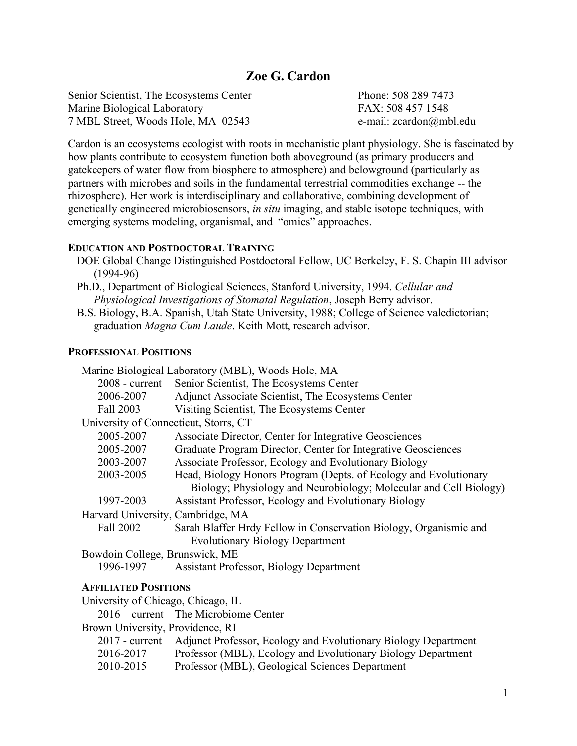# **Zoe G. Cardon**

Senior Scientist, The Ecosystems Center Marine Biological Laboratory 7 MBL Street, Woods Hole, MA 02543

Phone: 508 289 7473 FAX: 508 457 1548 e-mail: zcardon@mbl.edu

Cardon is an ecosystems ecologist with roots in mechanistic plant physiology. She is fascinated by how plants contribute to ecosystem function both aboveground (as primary producers and gatekeepers of water flow from biosphere to atmosphere) and belowground (particularly as partners with microbes and soils in the fundamental terrestrial commodities exchange -- the rhizosphere). Her work is interdisciplinary and collaborative, combining development of genetically engineered microbiosensors, *in situ* imaging, and stable isotope techniques, with emerging systems modeling, organismal, and "omics" approaches.

#### **EDUCATION AND POSTDOCTORAL TRAINING**

- DOE Global Change Distinguished Postdoctoral Fellow, UC Berkeley, F. S. Chapin III advisor (1994-96)
- Ph.D., Department of Biological Sciences, Stanford University, 1994. *Cellular and Physiological Investigations of Stomatal Regulation*, Joseph Berry advisor.
- B.S. Biology, B.A. Spanish, Utah State University, 1988; College of Science valedictorian; graduation *Magna Cum Laude*. Keith Mott, research advisor.

#### **PROFESSIONAL POSITIONS**

|                                       | Marine Biological Laboratory (MBL), Woods Hole, MA                |
|---------------------------------------|-------------------------------------------------------------------|
| $2008$ - current                      | Senior Scientist, The Ecosystems Center                           |
| 2006-2007                             | Adjunct Associate Scientist, The Ecosystems Center                |
| Fall 2003                             | Visiting Scientist, The Ecosystems Center                         |
| University of Connecticut, Storrs, CT |                                                                   |
| 2005-2007                             | Associate Director, Center for Integrative Geosciences            |
| 2005-2007                             | Graduate Program Director, Center for Integrative Geosciences     |
| 2003-2007                             | Associate Professor, Ecology and Evolutionary Biology             |
| 2003-2005                             | Head, Biology Honors Program (Depts. of Ecology and Evolutionary  |
|                                       | Biology; Physiology and Neurobiology; Molecular and Cell Biology) |
| 1997-2003                             | Assistant Professor, Ecology and Evolutionary Biology             |
| Harvard University, Cambridge, MA     |                                                                   |
| Fall 2002                             | Sarah Blaffer Hrdy Fellow in Conservation Biology, Organismic and |
|                                       | <b>Evolutionary Biology Department</b>                            |
| Bowdoin College, Brunswick, ME        |                                                                   |
| 1996-1997                             | <b>Assistant Professor, Biology Department</b>                    |
|                                       |                                                                   |

#### **AFFILIATED POSITIONS**

University of Chicago, Chicago, IL 2016 – current The Microbiome Center Brown University, Providence, RI 2017 - current Adjunct Professor, Ecology and Evolutionary Biology Department 2016-2017 Professor (MBL), Ecology and Evolutionary Biology Department 2010-2015 Professor (MBL), Geological Sciences Department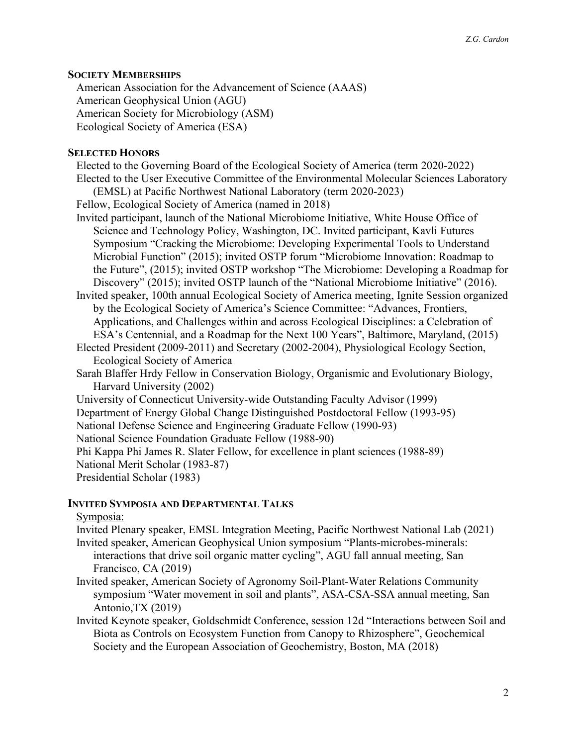### **SOCIETY MEMBERSHIPS**

American Association for the Advancement of Science (AAAS) American Geophysical Union (AGU) American Society for Microbiology (ASM) Ecological Society of America (ESA)

### **SELECTED HONORS**

Elected to the Governing Board of the Ecological Society of America (term 2020-2022) Elected to the User Executive Committee of the Environmental Molecular Sciences Laboratory (EMSL) at Pacific Northwest National Laboratory (term 2020-2023)

Fellow, Ecological Society of America (named in 2018)

- Invited participant, launch of the National Microbiome Initiative, White House Office of Science and Technology Policy, Washington, DC. Invited participant, Kavli Futures Symposium "Cracking the Microbiome: Developing Experimental Tools to Understand Microbial Function" (2015); invited OSTP forum "Microbiome Innovation: Roadmap to the Future", (2015); invited OSTP workshop "The Microbiome: Developing a Roadmap for Discovery" (2015); invited OSTP launch of the "National Microbiome Initiative" (2016).
- Invited speaker, 100th annual Ecological Society of America meeting, Ignite Session organized by the Ecological Society of America's Science Committee: "Advances, Frontiers, Applications, and Challenges within and across Ecological Disciplines: a Celebration of ESA's Centennial, and a Roadmap for the Next 100 Years", Baltimore, Maryland, (2015)
- Elected President (2009-2011) and Secretary (2002-2004), Physiological Ecology Section, Ecological Society of America
- Sarah Blaffer Hrdy Fellow in Conservation Biology, Organismic and Evolutionary Biology, Harvard University (2002)
- University of Connecticut University-wide Outstanding Faculty Advisor (1999) Department of Energy Global Change Distinguished Postdoctoral Fellow (1993-95) National Defense Science and Engineering Graduate Fellow (1990-93) National Science Foundation Graduate Fellow (1988-90) Phi Kappa Phi James R. Slater Fellow, for excellence in plant sciences (1988-89) National Merit Scholar (1983-87) Presidential Scholar (1983)

## **INVITED SYMPOSIA AND DEPARTMENTAL TALKS**

#### Symposia:

- Invited Plenary speaker, EMSL Integration Meeting, Pacific Northwest National Lab (2021) Invited speaker, American Geophysical Union symposium "Plants-microbes-minerals:
	- interactions that drive soil organic matter cycling", AGU fall annual meeting, San Francisco, CA (2019)
- Invited speaker, American Society of Agronomy Soil-Plant-Water Relations Community symposium "Water movement in soil and plants", ASA-CSA-SSA annual meeting, San Antonio,TX (2019)
- Invited Keynote speaker, Goldschmidt Conference, session 12d "Interactions between Soil and Biota as Controls on Ecosystem Function from Canopy to Rhizosphere", Geochemical Society and the European Association of Geochemistry, Boston, MA (2018)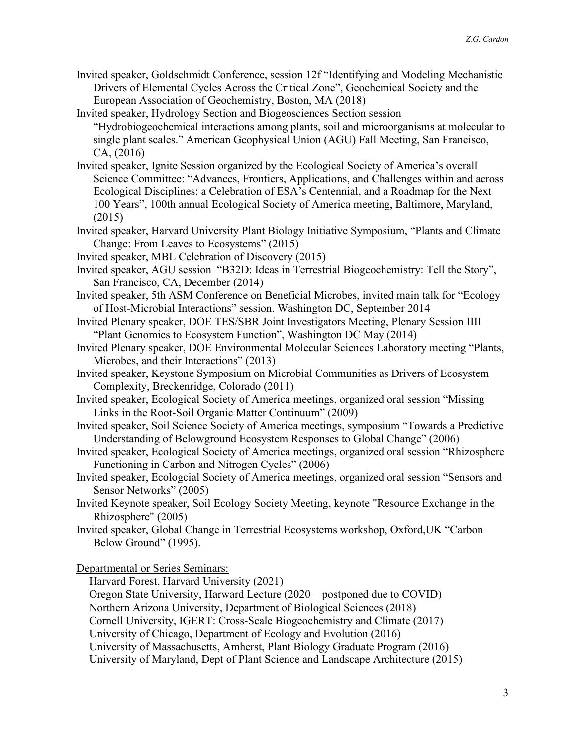- Invited speaker, Goldschmidt Conference, session 12f "Identifying and Modeling Mechanistic Drivers of Elemental Cycles Across the Critical Zone", Geochemical Society and the European Association of Geochemistry, Boston, MA (2018)
- Invited speaker, Hydrology Section and Biogeosciences Section session "Hydrobiogeochemical interactions among plants, soil and microorganisms at molecular to single plant scales." American Geophysical Union (AGU) Fall Meeting, San Francisco, CA, (2016)
- Invited speaker, Ignite Session organized by the Ecological Society of America's overall Science Committee: "Advances, Frontiers, Applications, and Challenges within and across Ecological Disciplines: a Celebration of ESA's Centennial, and a Roadmap for the Next 100 Years", 100th annual Ecological Society of America meeting, Baltimore, Maryland, (2015)
- Invited speaker, Harvard University Plant Biology Initiative Symposium, "Plants and Climate Change: From Leaves to Ecosystems" (2015)
- Invited speaker, MBL Celebration of Discovery (2015)
- Invited speaker, AGU session "B32D: Ideas in Terrestrial Biogeochemistry: Tell the Story", San Francisco, CA, December (2014)
- Invited speaker, 5th ASM Conference on Beneficial Microbes, invited main talk for "Ecology of Host-Microbial Interactions" session. Washington DC, September 2014
- Invited Plenary speaker, DOE TES/SBR Joint Investigators Meeting, Plenary Session IIII "Plant Genomics to Ecosystem Function", Washington DC May (2014)
- Invited Plenary speaker, DOE Environmental Molecular Sciences Laboratory meeting "Plants, Microbes, and their Interactions" (2013)
- Invited speaker, Keystone Symposium on Microbial Communities as Drivers of Ecosystem Complexity, Breckenridge, Colorado (2011)
- Invited speaker, Ecological Society of America meetings, organized oral session "Missing Links in the Root-Soil Organic Matter Continuum" (2009)
- Invited speaker, Soil Science Society of America meetings, symposium "Towards a Predictive Understanding of Belowground Ecosystem Responses to Global Change" (2006)
- Invited speaker, Ecological Society of America meetings, organized oral session "Rhizosphere Functioning in Carbon and Nitrogen Cycles" (2006)
- Invited speaker, Ecologcial Society of America meetings, organized oral session "Sensors and Sensor Networks" (2005)
- Invited Keynote speaker, Soil Ecology Society Meeting, keynote "Resource Exchange in the Rhizosphere" (2005)
- Invited speaker, Global Change in Terrestrial Ecosystems workshop, Oxford,UK "Carbon Below Ground" (1995).

Departmental or Series Seminars:

Harvard Forest, Harvard University (2021)

Oregon State University, Harward Lecture (2020 – postponed due to COVID)

Northern Arizona University, Department of Biological Sciences (2018)

Cornell University, IGERT: Cross-Scale Biogeochemistry and Climate (2017)

University of Chicago, Department of Ecology and Evolution (2016)

University of Massachusetts, Amherst, Plant Biology Graduate Program (2016)

University of Maryland, Dept of Plant Science and Landscape Architecture (2015)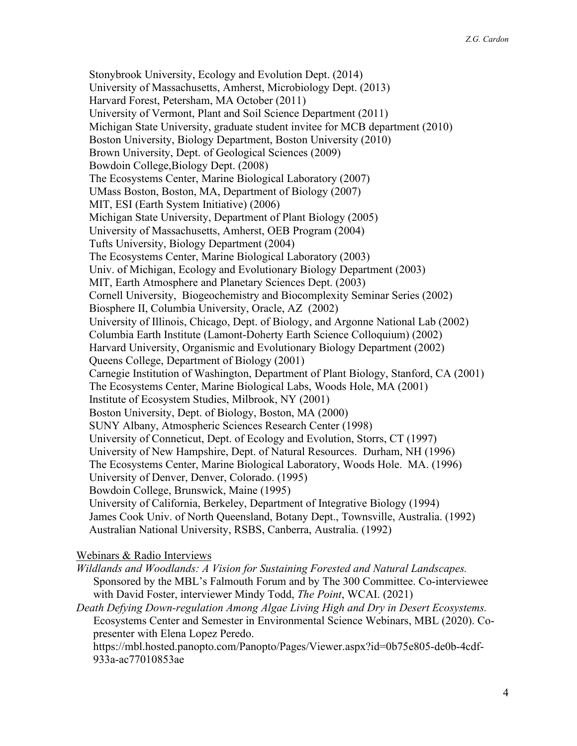Stonybrook University, Ecology and Evolution Dept. (2014) University of Massachusetts, Amherst, Microbiology Dept. (2013) Harvard Forest, Petersham, MA October (2011) University of Vermont, Plant and Soil Science Department (2011) Michigan State University, graduate student invitee for MCB department (2010) Boston University, Biology Department, Boston University (2010) Brown University, Dept. of Geological Sciences (2009) Bowdoin College,Biology Dept. (2008) The Ecosystems Center, Marine Biological Laboratory (2007) UMass Boston, Boston, MA, Department of Biology (2007) MIT, ESI (Earth System Initiative) (2006) Michigan State University, Department of Plant Biology (2005) University of Massachusetts, Amherst, OEB Program (2004) Tufts University, Biology Department (2004) The Ecosystems Center, Marine Biological Laboratory (2003) Univ. of Michigan, Ecology and Evolutionary Biology Department (2003) MIT, Earth Atmosphere and Planetary Sciences Dept. (2003) Cornell University, Biogeochemistry and Biocomplexity Seminar Series (2002) Biosphere II, Columbia University, Oracle, AZ (2002) University of Illinois, Chicago, Dept. of Biology, and Argonne National Lab (2002) Columbia Earth Institute (Lamont-Doherty Earth Science Colloquium) (2002) Harvard University, Organismic and Evolutionary Biology Department (2002) Queens College, Department of Biology (2001) Carnegie Institution of Washington, Department of Plant Biology, Stanford, CA (2001) The Ecosystems Center, Marine Biological Labs, Woods Hole, MA (2001) Institute of Ecosystem Studies, Milbrook, NY (2001) Boston University, Dept. of Biology, Boston, MA (2000) SUNY Albany, Atmospheric Sciences Research Center (1998) University of Conneticut, Dept. of Ecology and Evolution, Storrs, CT (1997) University of New Hampshire, Dept. of Natural Resources. Durham, NH (1996) The Ecosystems Center, Marine Biological Laboratory, Woods Hole. MA. (1996) University of Denver, Denver, Colorado. (1995) Bowdoin College, Brunswick, Maine (1995) University of California, Berkeley, Department of Integrative Biology (1994) James Cook Univ. of North Queensland, Botany Dept., Townsville, Australia. (1992) Australian National University, RSBS, Canberra, Australia. (1992)

#### Webinars & Radio Interviews

*Wildlands and Woodlands: A Vision for Sustaining Forested and Natural Landscapes.* Sponsored by the MBL's Falmouth Forum and by The 300 Committee. Co-interviewee with David Foster, interviewer Mindy Todd, *The Point*, WCAI. (2021)

*Death Defying Down-regulation Among Algae Living High and Dry in Desert Ecosystems.* Ecosystems Center and Semester in Environmental Science Webinars, MBL (2020). Copresenter with Elena Lopez Peredo.

https://mbl.hosted.panopto.com/Panopto/Pages/Viewer.aspx?id=0b75e805-de0b-4cdf-933a-ac77010853ae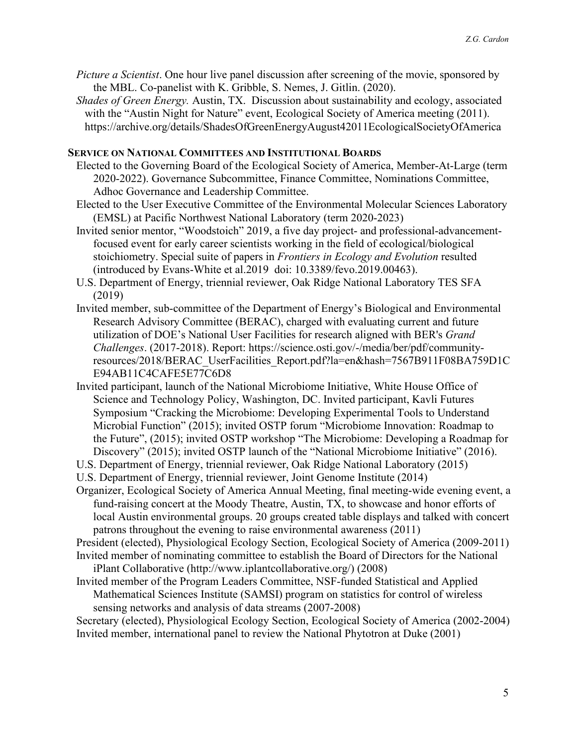- *Picture a Scientist*. One hour live panel discussion after screening of the movie, sponsored by the MBL. Co-panelist with K. Gribble, S. Nemes, J. Gitlin. (2020).
- *Shades of Green Energy.* Austin, TX. Discussion about sustainability and ecology, associated with the "Austin Night for Nature" event, Ecological Society of America meeting (2011). https://archive.org/details/ShadesOfGreenEnergyAugust42011EcologicalSocietyOfAmerica

#### **SERVICE ON NATIONAL COMMITTEES AND INSTITUTIONAL BOARDS**

- Elected to the Governing Board of the Ecological Society of America, Member-At-Large (term 2020-2022). Governance Subcommittee, Finance Committee, Nominations Committee, Adhoc Governance and Leadership Committee.
- Elected to the User Executive Committee of the Environmental Molecular Sciences Laboratory (EMSL) at Pacific Northwest National Laboratory (term 2020-2023)
- Invited senior mentor, "Woodstoich" 2019, a five day project- and professional-advancementfocused event for early career scientists working in the field of ecological/biological stoichiometry. Special suite of papers in *Frontiers in Ecology and Evolution* resulted (introduced by Evans-White et al.2019 doi: 10.3389/fevo.2019.00463).
- U.S. Department of Energy, triennial reviewer, Oak Ridge National Laboratory TES SFA (2019)
- Invited member, sub-committee of the Department of Energy's Biological and Environmental Research Advisory Committee (BERAC), charged with evaluating current and future utilization of DOE's National User Facilities for research aligned with BER's *Grand Challenges*. (2017-2018). Report: https://science.osti.gov/-/media/ber/pdf/communityresources/2018/BERAC\_UserFacilities\_Report.pdf?la=en&hash=7567B911F08BA759D1C E94AB11C4CAFE5E77C6D8
- Invited participant, launch of the National Microbiome Initiative, White House Office of Science and Technology Policy, Washington, DC. Invited participant, Kavli Futures Symposium "Cracking the Microbiome: Developing Experimental Tools to Understand Microbial Function" (2015); invited OSTP forum "Microbiome Innovation: Roadmap to the Future", (2015); invited OSTP workshop "The Microbiome: Developing a Roadmap for Discovery" (2015); invited OSTP launch of the "National Microbiome Initiative" (2016).
- U.S. Department of Energy, triennial reviewer, Oak Ridge National Laboratory (2015)
- U.S. Department of Energy, triennial reviewer, Joint Genome Institute (2014)
- Organizer, Ecological Society of America Annual Meeting, final meeting-wide evening event, a fund-raising concert at the Moody Theatre, Austin, TX, to showcase and honor efforts of local Austin environmental groups. 20 groups created table displays and talked with concert patrons throughout the evening to raise environmental awareness (2011)

President (elected), Physiological Ecology Section, Ecological Society of America (2009-2011) Invited member of nominating committee to establish the Board of Directors for the National

- iPlant Collaborative (http://www.iplantcollaborative.org/) (2008)
- Invited member of the Program Leaders Committee, NSF-funded Statistical and Applied Mathematical Sciences Institute (SAMSI) program on statistics for control of wireless sensing networks and analysis of data streams (2007-2008)

Secretary (elected), Physiological Ecology Section, Ecological Society of America (2002-2004) Invited member, international panel to review the National Phytotron at Duke (2001)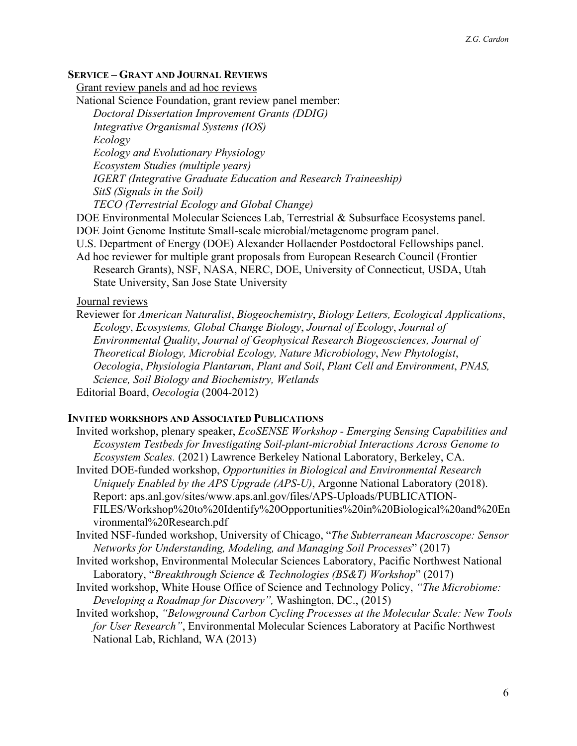#### **SERVICE – GRANT AND JOURNAL REVIEWS**

Grant review panels and ad hoc reviews

National Science Foundation, grant review panel member:

*Doctoral Dissertation Improvement Grants (DDIG) Integrative Organismal Systems (IOS) Ecology Ecology and Evolutionary Physiology Ecosystem Studies (multiple years) IGERT (Integrative Graduate Education and Research Traineeship) SitS (Signals in the Soil) TECO (Terrestrial Ecology and Global Change)*

DOE Environmental Molecular Sciences Lab, Terrestrial & Subsurface Ecosystems panel. DOE Joint Genome Institute Small-scale microbial/metagenome program panel.

U.S. Department of Energy (DOE) Alexander Hollaender Postdoctoral Fellowships panel.

Ad hoc reviewer for multiple grant proposals from European Research Council (Frontier Research Grants), NSF, NASA, NERC, DOE, University of Connecticut, USDA, Utah State University, San Jose State University

#### Journal reviews

Reviewer for *American Naturalist*, *Biogeochemistry*, *Biology Letters, Ecological Applications*, *Ecology*, *Ecosystems, Global Change Biology*, *Journal of Ecology*, *Journal of Environmental Quality*, *Journal of Geophysical Research Biogeosciences, Journal of Theoretical Biology, Microbial Ecology, Nature Microbiology*, *New Phytologist*, *Oecologia*, *Physiologia Plantarum*, *Plant and Soil*, *Plant Cell and Environment*, *PNAS, Science, Soil Biology and Biochemistry, Wetlands* Editorial Board, *Oecologia* (2004-2012)

#### **INVITED WORKSHOPS AND ASSOCIATED PUBLICATIONS**

- Invited workshop, plenary speaker, *EcoSENSE Workshop Emerging Sensing Capabilities and Ecosystem Testbeds for Investigating Soil-plant-microbial Interactions Across Genome to Ecosystem Scales.* (2021) Lawrence Berkeley National Laboratory, Berkeley, CA.
- Invited DOE-funded workshop, *Opportunities in Biological and Environmental Research Uniquely Enabled by the APS Upgrade (APS-U)*, Argonne National Laboratory (2018). Report: aps.anl.gov/sites/www.aps.anl.gov/files/APS-Uploads/PUBLICATION-FILES/Workshop%20to%20Identify%20Opportunities%20in%20Biological%20and%20En vironmental%20Research.pdf
- Invited NSF-funded workshop, University of Chicago, "*The Subterranean Macroscope: Sensor Networks for Understanding, Modeling, and Managing Soil Processes*" (2017)
- Invited workshop, Environmental Molecular Sciences Laboratory, Pacific Northwest National Laboratory, "*Breakthrough Science & Technologies (BS&T) Workshop*" (2017)
- Invited workshop, White House Office of Science and Technology Policy, *"The Microbiome: Developing a Roadmap for Discovery",* Washington, DC., (2015)
- Invited workshop, *"Belowground Carbon Cycling Processes at the Molecular Scale: New Tools for User Research"*, Environmental Molecular Sciences Laboratory at Pacific Northwest National Lab, Richland, WA (2013)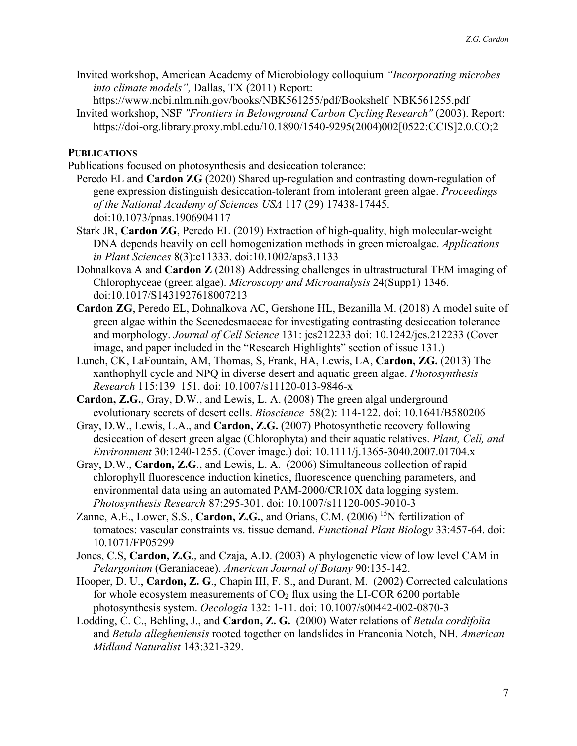- Invited workshop, American Academy of Microbiology colloquium *"Incorporating microbes into climate models",* Dallas, TX (2011) Report:
	- https://www.ncbi.nlm.nih.gov/books/NBK561255/pdf/Bookshelf\_NBK561255.pdf
- Invited workshop, NSF *"Frontiers in Belowground Carbon Cycling Research"* (2003). Report: https://doi-org.library.proxy.mbl.edu/10.1890/1540-9295(2004)002[0522:CCIS]2.0.CO;2

**PUBLICATIONS**

Publications focused on photosynthesis and desiccation tolerance:

- Peredo EL and **Cardon ZG** (2020) Shared up-regulation and contrasting down-regulation of gene expression distinguish desiccation-tolerant from intolerant green algae. *Proceedings of the National Academy of Sciences USA* 117 (29) 17438-17445. doi:10.1073/pnas.1906904117
- Stark JR, **Cardon ZG**, Peredo EL (2019) Extraction of high-quality, high molecular-weight DNA depends heavily on cell homogenization methods in green microalgae. *Applications in Plant Sciences* 8(3):e11333. doi:10.1002/aps3.1133
- Dohnalkova A and **Cardon Z** (2018) Addressing challenges in ultrastructural TEM imaging of Chlorophyceae (green algae). *Microscopy and Microanalysis* 24(Supp1) 1346. doi:10.1017/S1431927618007213
- **Cardon ZG**, Peredo EL, Dohnalkova AC, Gershone HL, Bezanilla M. (2018) A model suite of green algae within the Scenedesmaceae for investigating contrasting desiccation tolerance and morphology. *Journal of Cell Science* 131: jcs212233 doi: 10.1242/jcs.212233 (Cover image, and paper included in the "Research Highlights" section of issue 131.)
- Lunch, CK, LaFountain, AM, Thomas, S, Frank, HA, Lewis, LA, **Cardon, ZG.** (2013) The xanthophyll cycle and NPQ in diverse desert and aquatic green algae. *Photosynthesis Research* 115:139–151. doi: 10.1007/s11120-013-9846-x
- **Cardon, Z.G.**, Gray, D.W., and Lewis, L. A. (2008) The green algal underground evolutionary secrets of desert cells. *Bioscience* 58(2): 114-122. doi: 10.1641/B580206
- Gray, D.W., Lewis, L.A., and **Cardon, Z.G.** (2007) Photosynthetic recovery following desiccation of desert green algae (Chlorophyta) and their aquatic relatives. *Plant, Cell, and Environment* 30:1240-1255. (Cover image.) doi: 10.1111/j.1365-3040.2007.01704.x
- Gray, D.W., **Cardon, Z.G**., and Lewis, L. A. (2006) Simultaneous collection of rapid chlorophyll fluorescence induction kinetics, fluorescence quenching parameters, and environmental data using an automated PAM-2000/CR10X data logging system. *Photosynthesis Research* 87:295-301. doi: 10.1007/s11120-005-9010-3
- Zanne, A.E., Lower, S.S., Cardon, Z.G., and Orians, C.M. (2006) <sup>15</sup>N fertilization of tomatoes: vascular constraints vs. tissue demand. *Functional Plant Biology* 33:457-64. doi: 10.1071/FP05299
- Jones, C.S, **Cardon, Z.G**., and Czaja, A.D. (2003) A phylogenetic view of low level CAM in *Pelargonium* (Geraniaceae). *American Journal of Botany* 90:135-142.
- Hooper, D. U., **Cardon, Z. G**., Chapin III, F. S., and Durant, M. (2002) Corrected calculations for whole ecosystem measurements of  $CO<sub>2</sub>$  flux using the LI-COR 6200 portable photosynthesis system. *Oecologia* 132: 1-11. doi: 10.1007/s00442-002-0870-3
- Lodding, C. C., Behling, J., and **Cardon, Z. G.** (2000) Water relations of *Betula cordifolia* and *Betula allegheniensis* rooted together on landslides in Franconia Notch, NH. *American Midland Naturalist* 143:321-329.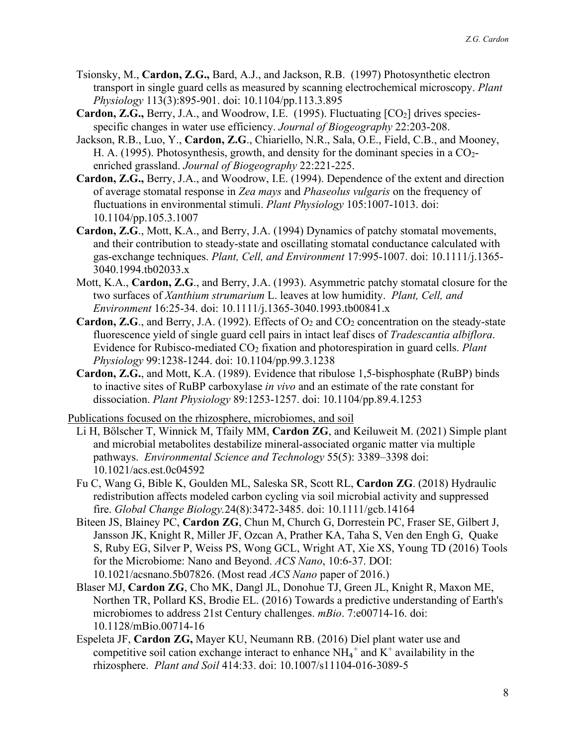- Tsionsky, M., **Cardon, Z.G.,** Bard, A.J., and Jackson, R.B. (1997) Photosynthetic electron transport in single guard cells as measured by scanning electrochemical microscopy. *Plant Physiology* 113(3):895-901. doi: 10.1104/pp.113.3.895
- **Cardon, Z.G., Berry, J.A., and Woodrow, I.E. (1995). Fluctuating [CO<sub>2</sub>] drives species**specific changes in water use efficiency. *Journal of Biogeography* 22:203-208.
- Jackson, R.B., Luo, Y., **Cardon, Z.G**., Chiariello, N.R., Sala, O.E., Field, C.B., and Mooney, H. A. (1995). Photosynthesis, growth, and density for the dominant species in a CO<sub>2</sub>enriched grassland. *Journal of Biogeography* 22:221-225.
- **Cardon, Z.G.,** Berry, J.A., and Woodrow, I.E. (1994). Dependence of the extent and direction of average stomatal response in *Zea mays* and *Phaseolus vulgaris* on the frequency of fluctuations in environmental stimuli. *Plant Physiology* 105:1007-1013. doi: 10.1104/pp.105.3.1007
- **Cardon, Z.G**., Mott, K.A., and Berry, J.A. (1994) Dynamics of patchy stomatal movements, and their contribution to steady-state and oscillating stomatal conductance calculated with gas-exchange techniques. *Plant, Cell, and Environment* 17:995-1007. doi: 10.1111/j.1365- 3040.1994.tb02033.x
- Mott, K.A., **Cardon, Z.G**., and Berry, J.A. (1993). Asymmetric patchy stomatal closure for the two surfaces of *Xanthium strumarium* L. leaves at low humidity. *Plant, Cell, and Environment* 16:25-34. doi: 10.1111/j.1365-3040.1993.tb00841.x
- **Cardon, Z.G.**, and Berry, J.A. (1992). Effects of  $O_2$  and  $CO_2$  concentration on the steady-state fluorescence yield of single guard cell pairs in intact leaf discs of *Tradescantia albiflora*. Evidence for Rubisco-mediated CO2 fixation and photorespiration in guard cells. *Plant Physiology* 99:1238-1244. doi: 10.1104/pp.99.3.1238
- **Cardon, Z.G.**, and Mott, K.A. (1989). Evidence that ribulose 1,5-bisphosphate (RuBP) binds to inactive sites of RuBP carboxylase *in vivo* and an estimate of the rate constant for dissociation. *Plant Physiology* 89:1253-1257. doi: 10.1104/pp.89.4.1253

Publications focused on the rhizosphere, microbiomes, and soil

- Li H, Bölscher T, Winnick M, Tfaily MM, **Cardon ZG**, and Keiluweit M. (2021) Simple plant and microbial metabolites destabilize mineral-associated organic matter via multiple pathways. *Environmental Science and Technology* 55(5): 3389–3398 doi: 10.1021/acs.est.0c04592
- Fu C, Wang G, Bible K, Goulden ML, Saleska SR, Scott RL, **Cardon ZG**. (2018) Hydraulic redistribution affects modeled carbon cycling via soil microbial activity and suppressed fire. *Global Change Biology.*24(8):3472-3485. doi: 10.1111/gcb.14164
- Biteen JS, Blainey PC, **Cardon ZG**, Chun M, Church G, Dorrestein PC, Fraser SE, Gilbert J, Jansson JK, Knight R, Miller JF, Ozcan A, Prather KA, Taha S, Ven den Engh G, Quake S, Ruby EG, Silver P, Weiss PS, Wong GCL, Wright AT, Xie XS, Young TD (2016) Tools for the Microbiome: Nano and Beyond. *ACS Nano*, 10:6-37. DOI: 10.1021/acsnano.5b07826. (Most read *ACS Nano* paper of 2016.)
- Blaser MJ, **Cardon ZG**, Cho MK, Dangl JL, Donohue TJ, Green JL, Knight R, Maxon ME, Northen TR, Pollard KS, Brodie EL. (2016) Towards a predictive understanding of Earth's microbiomes to address 21st Century challenges. *mBio*. 7:e00714-16. doi: 10.1128/mBio.00714-16
- Espeleta JF, **Cardon ZG,** Mayer KU, Neumann RB. (2016) Diel plant water use and competitive soil cation exchange interact to enhance  $NH_4^+$  and  $K^+$  availability in the rhizosphere. *Plant and Soil* 414:33. doi: 10.1007/s11104-016-3089-5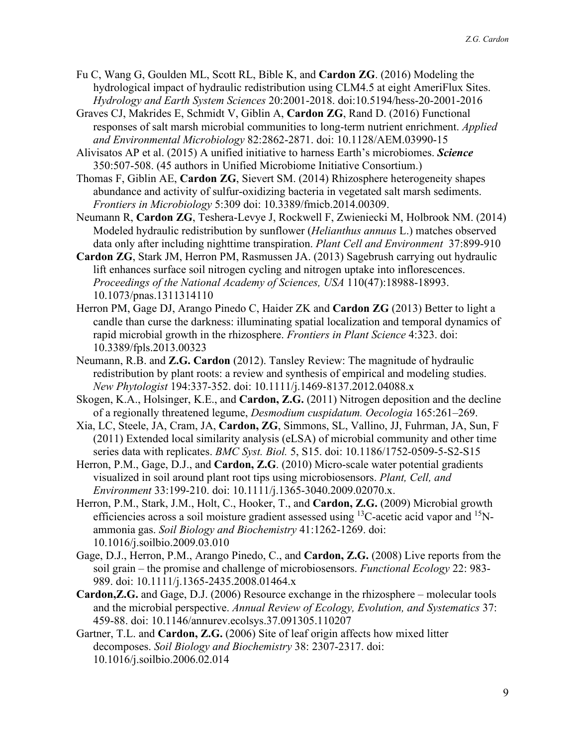- Fu C, Wang G, Goulden ML, Scott RL, Bible K, and **Cardon ZG**. (2016) Modeling the hydrological impact of hydraulic redistribution using CLM4.5 at eight AmeriFlux Sites. *Hydrology and Earth System Sciences* 20:2001-2018. doi:10.5194/hess-20-2001-2016
- Graves CJ, Makrides E, Schmidt V, Giblin A, **Cardon ZG**, Rand D. (2016) Functional responses of salt marsh microbial communities to long-term nutrient enrichment. *Applied and Environmental Microbiology* 82:2862-2871. doi: 10.1128/AEM.03990-15
- Alivisatos AP et al. (2015) A unified initiative to harness Earth's microbiomes. *Science* 350:507-508. (45 authors in Unified Microbiome Initiative Consortium.)
- Thomas F, Giblin AE, **Cardon ZG**, Sievert SM. (2014) Rhizosphere heterogeneity shapes abundance and activity of sulfur-oxidizing bacteria in vegetated salt marsh sediments. *Frontiers in Microbiology* 5:309 doi: 10.3389/fmicb.2014.00309.
- Neumann R, **Cardon ZG**, Teshera-Levye J, Rockwell F, Zwieniecki M, Holbrook NM. (2014) Modeled hydraulic redistribution by sunflower (*Helianthus annuus* L.) matches observed data only after including nighttime transpiration. *Plant Cell and Environment* 37:899-910
- **Cardon ZG**, Stark JM, Herron PM, Rasmussen JA. (2013) Sagebrush carrying out hydraulic lift enhances surface soil nitrogen cycling and nitrogen uptake into inflorescences. *Proceedings of the National Academy of Sciences, USA* 110(47):18988-18993. 10.1073/pnas.1311314110
- Herron PM, Gage DJ, Arango Pinedo C, Haider ZK and **Cardon ZG** (2013) Better to light a candle than curse the darkness: illuminating spatial localization and temporal dynamics of rapid microbial growth in the rhizosphere. *Frontiers in Plant Science* 4:323. doi: 10.3389/fpls.2013.00323
- Neumann, R.B. and **Z.G. Cardon** (2012). Tansley Review: The magnitude of hydraulic redistribution by plant roots: a review and synthesis of empirical and modeling studies. *New Phytologist* 194:337-352. doi: 10.1111/j.1469-8137.2012.04088.x
- Skogen, K.A., Holsinger, K.E., and **Cardon, Z.G.** (2011) Nitrogen deposition and the decline of a regionally threatened legume, *Desmodium cuspidatum. Oecologia* 165:261–269.
- Xia, LC, Steele, JA, Cram, JA, **Cardon, ZG**, Simmons, SL, Vallino, JJ, Fuhrman, JA, Sun, F (2011) Extended local similarity analysis (eLSA) of microbial community and other time series data with replicates. *BMC Syst. Biol.* 5, S15. doi: 10.1186/1752-0509-5-S2-S15
- Herron, P.M., Gage, D.J., and **Cardon, Z.G**. (2010) Micro-scale water potential gradients visualized in soil around plant root tips using microbiosensors. *Plant, Cell, and Environment* 33:199-210. doi: 10.1111/j.1365-3040.2009.02070.x.
- Herron, P.M., Stark, J.M., Holt, C., Hooker, T., and **Cardon, Z.G.** (2009) Microbial growth efficiencies across a soil moisture gradient assessed using  $^{13}$ C-acetic acid vapor and  $^{15}$ Nammonia gas. *Soil Biology and Biochemistry* 41:1262-1269. doi: 10.1016/j.soilbio.2009.03.010
- Gage, D.J., Herron, P.M., Arango Pinedo, C., and **Cardon, Z.G.** (2008) Live reports from the soil grain – the promise and challenge of microbiosensors. *Functional Ecology* 22: 983- 989. doi: 10.1111/j.1365-2435.2008.01464.x
- **Cardon,Z.G.** and Gage, D.J. (2006) Resource exchange in the rhizosphere molecular tools and the microbial perspective. *Annual Review of Ecology, Evolution, and Systematics* 37: 459-88. doi: 10.1146/annurev.ecolsys.37.091305.110207
- Gartner, T.L. and **Cardon, Z.G.** (2006) Site of leaf origin affects how mixed litter decomposes. *Soil Biology and Biochemistry* 38: 2307-2317. doi: 10.1016/j.soilbio.2006.02.014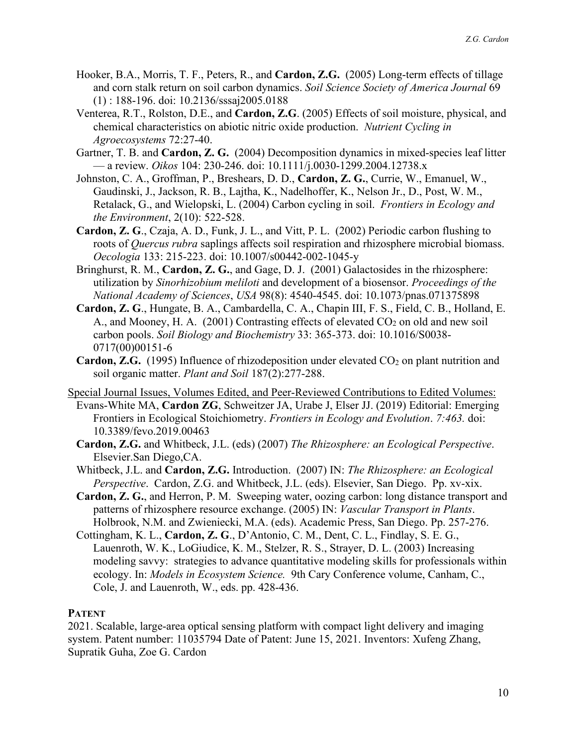- Hooker, B.A., Morris, T. F., Peters, R., and **Cardon, Z.G.** (2005) Long-term effects of tillage and corn stalk return on soil carbon dynamics. *Soil Science Society of America Journal* 69 (1) : 188-196. doi: 10.2136/sssaj2005.0188
- Venterea, R.T., Rolston, D.E., and **Cardon, Z.G**. (2005) Effects of soil moisture, physical, and chemical characteristics on abiotic nitric oxide production. *Nutrient Cycling in Agroecosystems* 72:27-40.
- Gartner, T. B. and **Cardon, Z. G.** (2004) Decomposition dynamics in mixed-species leaf litter — a review. *Oikos* 104: 230-246. doi: 10.1111/j.0030-1299.2004.12738.x
- Johnston, C. A., Groffman, P., Breshears, D. D., **Cardon, Z. G.**, Currie, W., Emanuel, W., Gaudinski, J., Jackson, R. B., Lajtha, K., Nadelhoffer, K., Nelson Jr., D., Post, W. M., Retalack, G., and Wielopski, L. (2004) Carbon cycling in soil. *Frontiers in Ecology and the Environment*, 2(10): 522-528.
- **Cardon, Z. G**., Czaja, A. D., Funk, J. L., and Vitt, P. L. (2002) Periodic carbon flushing to roots of *Quercus rubra* saplings affects soil respiration and rhizosphere microbial biomass. *Oecologia* 133: 215-223. doi: 10.1007/s00442-002-1045-y
- Bringhurst, R. M., **Cardon, Z. G.**, and Gage, D. J. (2001) Galactosides in the rhizosphere: utilization by *Sinorhizobium meliloti* and development of a biosensor. *Proceedings of the National Academy of Sciences*, *USA* 98(8): 4540-4545. doi: 10.1073/pnas.071375898
- **Cardon, Z. G**., Hungate, B. A., Cambardella, C. A., Chapin III, F. S., Field, C. B., Holland, E. A., and Mooney, H. A.  $(2001)$  Contrasting effects of elevated  $CO<sub>2</sub>$  on old and new soil carbon pools. *Soil Biology and Biochemistry* 33: 365-373. doi: 10.1016/S0038- 0717(00)00151-6
- Cardon, Z.G. (1995) Influence of rhizodeposition under elevated CO<sub>2</sub> on plant nutrition and soil organic matter. *Plant and Soil* 187(2):277-288.
- Special Journal Issues, Volumes Edited, and Peer-Reviewed Contributions to Edited Volumes: Evans-White MA, **Cardon ZG**, Schweitzer JA, Urabe J, Elser JJ. (2019) Editorial: Emerging Frontiers in Ecological Stoichiometry. *Frontiers in Ecology and Evolution*. *7:463.* doi: 10.3389/fevo.2019.00463
	- **Cardon, Z.G.** and Whitbeck, J.L. (eds) (2007) *The Rhizosphere: an Ecological Perspective*. Elsevier.San Diego,CA.
	- Whitbeck, J.L. and **Cardon, Z.G.** Introduction. (2007) IN: *The Rhizosphere: an Ecological Perspective*. Cardon, Z.G. and Whitbeck, J.L. (eds). Elsevier, San Diego. Pp. xv-xix.
	- **Cardon, Z. G.**, and Herron, P. M. Sweeping water, oozing carbon: long distance transport and patterns of rhizosphere resource exchange. (2005) IN: *Vascular Transport in Plants*. Holbrook, N.M. and Zwieniecki, M.A. (eds). Academic Press, San Diego. Pp. 257-276.
	- Cottingham, K. L., **Cardon, Z. G**., D'Antonio, C. M., Dent, C. L., Findlay, S. E. G., Lauenroth, W. K., LoGiudice, K. M., Stelzer, R. S., Strayer, D. L. (2003) Increasing modeling savvy: strategies to advance quantitative modeling skills for professionals within ecology. In: *Models in Ecosystem Science.* 9th Cary Conference volume, Canham, C., Cole, J. and Lauenroth, W., eds. pp. 428-436.

## **PATENT**

2021. Scalable, large-area optical sensing platform with compact light delivery and imaging system. Patent number: 11035794 Date of Patent: June 15, 2021. Inventors: Xufeng Zhang, Supratik Guha, Zoe G. Cardon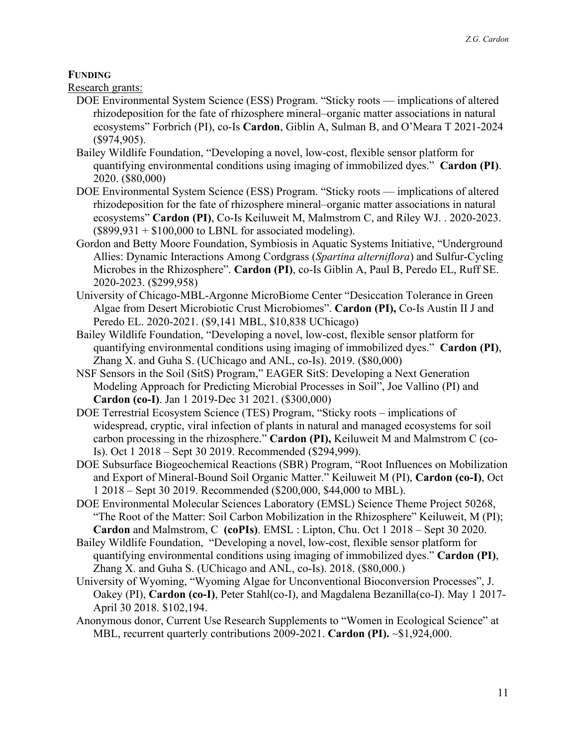## **FUNDING**

Research grants:

- DOE Environmental System Science (ESS) Program. "Sticky roots implications of altered rhizodeposition for the fate of rhizosphere mineral–organic matter associations in natural ecosystems" Forbrich (PI), co-Is **Cardon**, Giblin A, Sulman B, and O'Meara T 2021-2024 (\$974,905).
- Bailey Wildlife Foundation, "Developing a novel, low-cost, flexible sensor platform for quantifying environmental conditions using imaging of immobilized dyes." **Cardon (PI)**. 2020. (\$80,000)
- DOE Environmental System Science (ESS) Program. "Sticky roots implications of altered rhizodeposition for the fate of rhizosphere mineral–organic matter associations in natural ecosystems" **Cardon (PI)**, Co-Is Keiluweit M, Malmstrom C, and Riley WJ. . 2020-2023.  $($899,931 + $100,000$  to LBNL for associated modeling).
- Gordon and Betty Moore Foundation, Symbiosis in Aquatic Systems Initiative, "Underground Allies: Dynamic Interactions Among Cordgrass (*Spartina alterniflora*) and Sulfur-Cycling Microbes in the Rhizosphere". **Cardon (PI)**, co-Is Giblin A, Paul B, Peredo EL, Ruff SE. 2020-2023. (\$299,958)
- University of Chicago-MBL-Argonne MicroBiome Center "Desiccation Tolerance in Green Algae from Desert Microbiotic Crust Microbiomes". **Cardon (PI),** Co-Is Austin II J and Peredo EL. 2020-2021. (\$9,141 MBL, \$10,838 UChicago)
- Bailey Wildlife Foundation, "Developing a novel, low-cost, flexible sensor platform for quantifying environmental conditions using imaging of immobilized dyes." **Cardon (PI)**, Zhang X. and Guha S. (UChicago and ANL, co-Is). 2019. (\$80,000)
- NSF Sensors in the Soil (SitS) Program," EAGER SitS: Developing a Next Generation Modeling Approach for Predicting Microbial Processes in Soil", Joe Vallino (PI) and **Cardon (co-I)**. Jan 1 2019-Dec 31 2021. (\$300,000)
- DOE Terrestrial Ecosystem Science (TES) Program, "Sticky roots implications of widespread, cryptic, viral infection of plants in natural and managed ecosystems for soil carbon processing in the rhizosphere." **Cardon (PI),** Keiluweit M and Malmstrom C (co-Is). Oct 1 2018 – Sept 30 2019. Recommended (\$294,999).
- DOE Subsurface Biogeochemical Reactions (SBR) Program, "Root Influences on Mobilization and Export of Mineral-Bound Soil Organic Matter." Keiluweit M (PI), **Cardon (co-I)**, Oct 1 2018 – Sept 30 2019. Recommended (\$200,000, \$44,000 to MBL).
- DOE Environmental Molecular Sciences Laboratory (EMSL) Science Theme Project 50268, "The Root of the Matter: Soil Carbon Mobilization in the Rhizosphere" Keiluweit, M (PI); **Cardon** and Malmstrom, C **(coPIs)**. EMSL : Lipton, Chu. Oct 1 2018 – Sept 30 2020.
- Bailey Wildlife Foundation, "Developing a novel, low-cost, flexible sensor platform for quantifying environmental conditions using imaging of immobilized dyes." **Cardon (PI)**, Zhang X. and Guha S. (UChicago and ANL, co-Is). 2018. (\$80,000.)
- University of Wyoming, "Wyoming Algae for Unconventional Bioconversion Processes", J. Oakey (PI), **Cardon (co-I)**, Peter Stahl(co-I), and Magdalena Bezanilla(co-I). May 1 2017- April 30 2018. \$102,194.
- Anonymous donor, Current Use Research Supplements to "Women in Ecological Science" at MBL, recurrent quarterly contributions 2009-2021. **Cardon (PI).** ~\$1,924,000.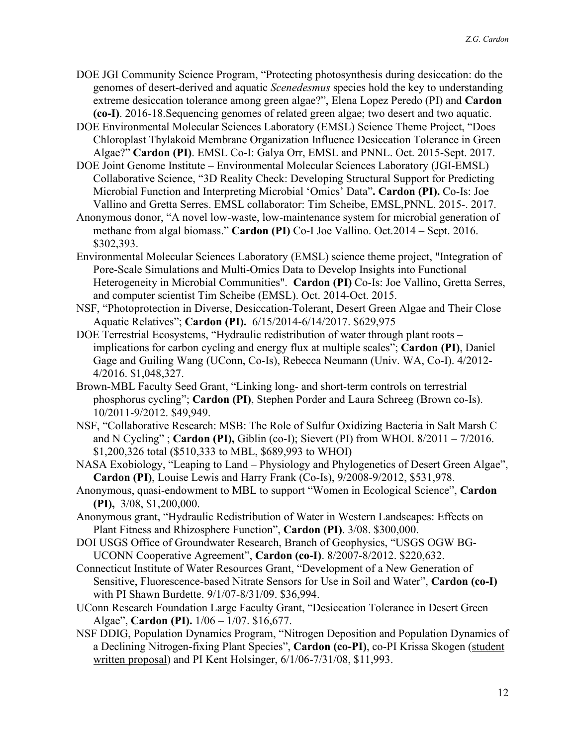- DOE JGI Community Science Program, "Protecting photosynthesis during desiccation: do the genomes of desert-derived and aquatic *Scenedesmus* species hold the key to understanding extreme desiccation tolerance among green algae?", Elena Lopez Peredo (PI) and **Cardon (co-I)**. 2016-18.Sequencing genomes of related green algae; two desert and two aquatic.
- DOE Environmental Molecular Sciences Laboratory (EMSL) Science Theme Project, "Does Chloroplast Thylakoid Membrane Organization Influence Desiccation Tolerance in Green Algae?" **Cardon (PI)**. EMSL Co-I: Galya Orr, EMSL and PNNL. Oct. 2015-Sept. 2017.
- DOE Joint Genome Institute Environmental Molecular Sciences Laboratory (JGI-EMSL) Collaborative Science, "3D Reality Check: Developing Structural Support for Predicting Microbial Function and Interpreting Microbial 'Omics' Data"**. Cardon (PI).** Co-Is: Joe Vallino and Gretta Serres. EMSL collaborator: Tim Scheibe, EMSL,PNNL. 2015-. 2017.
- Anonymous donor, "A novel low-waste, low-maintenance system for microbial generation of methane from algal biomass." **Cardon (PI)** Co-I Joe Vallino. Oct.2014 – Sept. 2016. \$302,393.
- Environmental Molecular Sciences Laboratory (EMSL) science theme project, "Integration of Pore-Scale Simulations and Multi-Omics Data to Develop Insights into Functional Heterogeneity in Microbial Communities". **Cardon (PI)** Co-Is: Joe Vallino, Gretta Serres, and computer scientist Tim Scheibe (EMSL). Oct. 2014-Oct. 2015.
- NSF, "Photoprotection in Diverse, Desiccation-Tolerant, Desert Green Algae and Their Close Aquatic Relatives"; **Cardon (PI).** 6/15/2014-6/14/2017. \$629,975
- DOE Terrestrial Ecosystems, "Hydraulic redistribution of water through plant roots implications for carbon cycling and energy flux at multiple scales"; **Cardon (PI)**, Daniel Gage and Guiling Wang (UConn, Co-Is), Rebecca Neumann (Univ. WA, Co-I). 4/2012- 4/2016. \$1,048,327.
- Brown-MBL Faculty Seed Grant, "Linking long- and short-term controls on terrestrial phosphorus cycling"; **Cardon (PI)**, Stephen Porder and Laura Schreeg (Brown co-Is). 10/2011-9/2012. \$49,949.
- NSF, "Collaborative Research: MSB: The Role of Sulfur Oxidizing Bacteria in Salt Marsh C and N Cycling" ; **Cardon (PI),** Giblin (co-I); Sievert (PI) from WHOI. 8/2011 – 7/2016. \$1,200,326 total (\$510,333 to MBL, \$689,993 to WHOI)
- NASA Exobiology, "Leaping to Land Physiology and Phylogenetics of Desert Green Algae", **Cardon (PI)**, Louise Lewis and Harry Frank (Co-Is), 9/2008-9/2012, \$531,978.
- Anonymous, quasi-endowment to MBL to support "Women in Ecological Science", **Cardon (PI),** 3/08, \$1,200,000.
- Anonymous grant, "Hydraulic Redistribution of Water in Western Landscapes: Effects on Plant Fitness and Rhizosphere Function", **Cardon (PI)**. 3/08. \$300,000.
- DOI USGS Office of Groundwater Research, Branch of Geophysics, "USGS OGW BG-UCONN Cooperative Agreement", **Cardon (co-I)**. 8/2007-8/2012. \$220,632.
- Connecticut Institute of Water Resources Grant, "Development of a New Generation of Sensitive, Fluorescence-based Nitrate Sensors for Use in Soil and Water", **Cardon (co-I)** with PI Shawn Burdette. 9/1/07-8/31/09. \$36,994.
- UConn Research Foundation Large Faculty Grant, "Desiccation Tolerance in Desert Green Algae", **Cardon (PI).** 1/06 – 1/07. \$16,677.
- NSF DDIG, Population Dynamics Program, "Nitrogen Deposition and Population Dynamics of a Declining Nitrogen-fixing Plant Species", **Cardon (co-PI)**, co-PI Krissa Skogen (student written proposal) and PI Kent Holsinger, 6/1/06-7/31/08, \$11,993.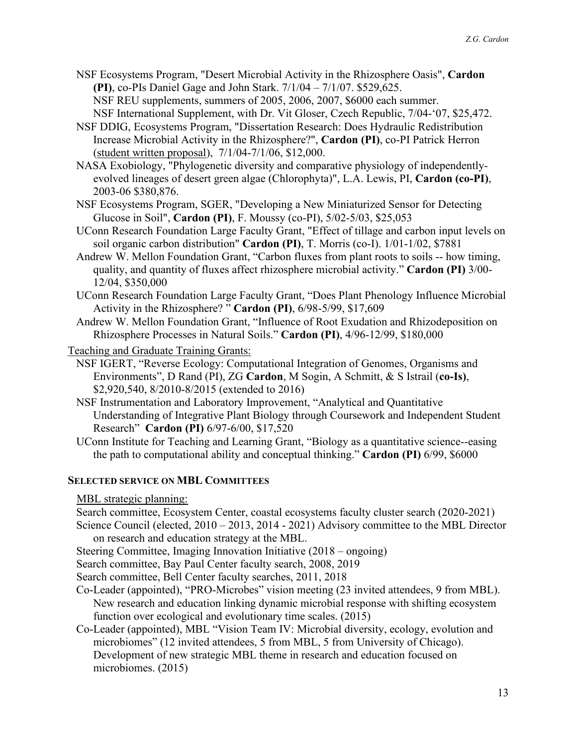NSF Ecosystems Program, "Desert Microbial Activity in the Rhizosphere Oasis", **Cardon (PI)**, co-PIs Daniel Gage and John Stark. 7/1/04 – 7/1/07. \$529,625. NSF REU supplements, summers of 2005, 2006, 2007, \$6000 each summer.

NSF International Supplement, with Dr. Vit Gloser, Czech Republic, 7/04-'07, \$25,472.

- NSF DDIG, Ecosystems Program, "Dissertation Research: Does Hydraulic Redistribution Increase Microbial Activity in the Rhizosphere?", **Cardon (PI)**, co-PI Patrick Herron (student written proposal), 7/1/04-7/1/06, \$12,000.
- NASA Exobiology, "Phylogenetic diversity and comparative physiology of independentlyevolved lineages of desert green algae (Chlorophyta)", L.A. Lewis, PI, **Cardon (co-PI)**, 2003-06 \$380,876.
- NSF Ecosystems Program, SGER, "Developing a New Miniaturized Sensor for Detecting Glucose in Soil", **Cardon (PI)**, F. Moussy (co-PI), 5/02-5/03, \$25,053
- UConn Research Foundation Large Faculty Grant, "Effect of tillage and carbon input levels on soil organic carbon distribution" **Cardon (PI)**, T. Morris (co-I). 1/01-1/02, \$7881
- Andrew W. Mellon Foundation Grant, "Carbon fluxes from plant roots to soils -- how timing, quality, and quantity of fluxes affect rhizosphere microbial activity." **Cardon (PI)** 3/00- 12/04, \$350,000
- UConn Research Foundation Large Faculty Grant, "Does Plant Phenology Influence Microbial Activity in the Rhizosphere? " **Cardon (PI)**, 6/98-5/99, \$17,609
- Andrew W. Mellon Foundation Grant, "Influence of Root Exudation and Rhizodeposition on Rhizosphere Processes in Natural Soils." **Cardon (PI)**, 4/96-12/99, \$180,000
- Teaching and Graduate Training Grants:
	- NSF IGERT, "Reverse Ecology: Computational Integration of Genomes, Organisms and Environments", D Rand (PI), ZG **Cardon**, M Sogin, A Schmitt, & S Istrail (**co-Is)**, \$2,920,540, 8/2010-8/2015 (extended to 2016)
	- NSF Instrumentation and Laboratory Improvement, "Analytical and Quantitative Understanding of Integrative Plant Biology through Coursework and Independent Student Research" **Cardon (PI)** 6/97-6/00, \$17,520
	- UConn Institute for Teaching and Learning Grant, "Biology as a quantitative science--easing the path to computational ability and conceptual thinking." **Cardon (PI)** 6/99, \$6000

## **SELECTED SERVICE ON MBL COMMITTEES**

MBL strategic planning:

Search committee, Ecosystem Center, coastal ecosystems faculty cluster search (2020-2021)

Science Council (elected, 2010 – 2013, 2014 - 2021) Advisory committee to the MBL Director on research and education strategy at the MBL.

Steering Committee, Imaging Innovation Initiative (2018 – ongoing)

Search committee, Bay Paul Center faculty search, 2008, 2019

Search committee, Bell Center faculty searches, 2011, 2018

- Co-Leader (appointed), "PRO-Microbes" vision meeting (23 invited attendees, 9 from MBL). New research and education linking dynamic microbial response with shifting ecosystem function over ecological and evolutionary time scales. (2015)
- Co-Leader (appointed), MBL "Vision Team IV: Microbial diversity, ecology, evolution and microbiomes" (12 invited attendees, 5 from MBL, 5 from University of Chicago). Development of new strategic MBL theme in research and education focused on microbiomes. (2015)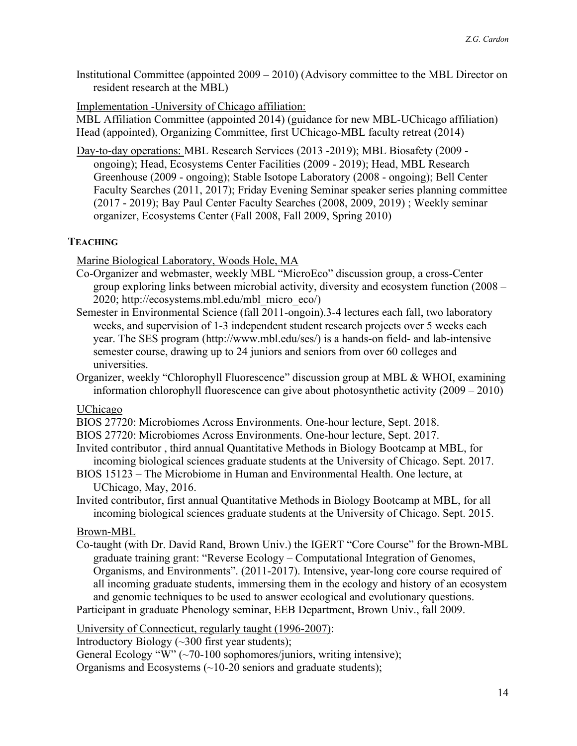Institutional Committee (appointed 2009 – 2010) (Advisory committee to the MBL Director on resident research at the MBL)

Implementation -University of Chicago affiliation:

MBL Affiliation Committee (appointed 2014) (guidance for new MBL-UChicago affiliation) Head (appointed), Organizing Committee, first UChicago-MBL faculty retreat (2014)

Day-to-day operations: MBL Research Services (2013 -2019); MBL Biosafety (2009 ongoing); Head, Ecosystems Center Facilities (2009 - 2019); Head, MBL Research Greenhouse (2009 - ongoing); Stable Isotope Laboratory (2008 - ongoing); Bell Center Faculty Searches (2011, 2017); Friday Evening Seminar speaker series planning committee (2017 - 2019); Bay Paul Center Faculty Searches (2008, 2009, 2019) ; Weekly seminar organizer, Ecosystems Center (Fall 2008, Fall 2009, Spring 2010)

## **TEACHING**

Marine Biological Laboratory, Woods Hole, MA

- Co-Organizer and webmaster, weekly MBL "MicroEco" discussion group, a cross-Center group exploring links between microbial activity, diversity and ecosystem function (2008 – 2020; http://ecosystems.mbl.edu/mbl\_micro\_eco/)
- Semester in Environmental Science (fall 2011-ongoin).3-4 lectures each fall, two laboratory weeks, and supervision of 1-3 independent student research projects over 5 weeks each year. The SES program (http://www.mbl.edu/ses/) is a hands-on field- and lab-intensive semester course, drawing up to 24 juniors and seniors from over 60 colleges and universities.
- Organizer, weekly "Chlorophyll Fluorescence" discussion group at MBL & WHOI, examining information chlorophyll fluorescence can give about photosynthetic activity (2009 – 2010)

## UChicago

BIOS 27720: Microbiomes Across Environments. One-hour lecture, Sept. 2018.

- BIOS 27720: Microbiomes Across Environments. One-hour lecture, Sept. 2017.
- Invited contributor , third annual Quantitative Methods in Biology Bootcamp at MBL, for incoming biological sciences graduate students at the University of Chicago. Sept. 2017.
- BIOS 15123 The Microbiome in Human and Environmental Health. One lecture, at UChicago, May, 2016.
- Invited contributor, first annual Quantitative Methods in Biology Bootcamp at MBL, for all incoming biological sciences graduate students at the University of Chicago. Sept. 2015.

## Brown-MBL

Co-taught (with Dr. David Rand, Brown Univ.) the IGERT "Core Course" for the Brown-MBL graduate training grant: "Reverse Ecology – Computational Integration of Genomes, Organisms, and Environments". (2011-2017). Intensive, year-long core course required of all incoming graduate students, immersing them in the ecology and history of an ecosystem and genomic techniques to be used to answer ecological and evolutionary questions.

Participant in graduate Phenology seminar, EEB Department, Brown Univ., fall 2009.

University of Connecticut, regularly taught (1996-2007):

Introductory Biology  $(\sim]300$  first year students);

General Ecology "W"  $(\sim 70-100$  sophomores/juniors, writing intensive);

Organisms and Ecosystems  $(\sim] 10{\text -}20$  seniors and graduate students);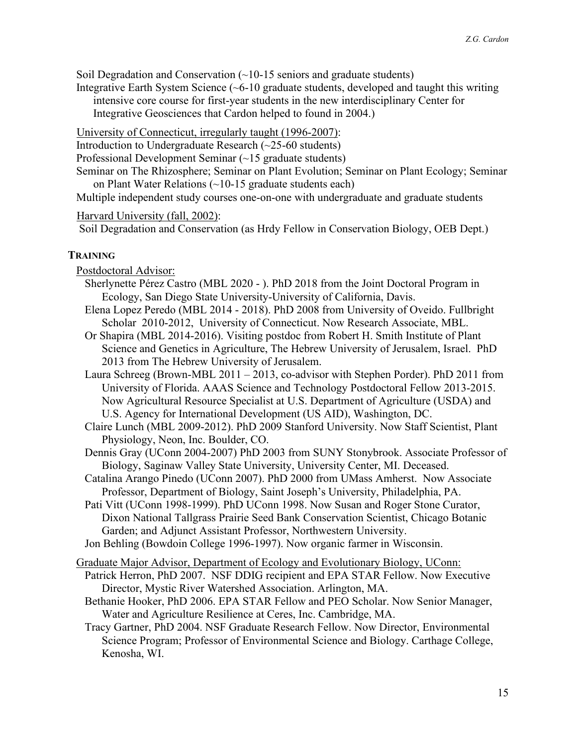Soil Degradation and Conservation  $\left(\sim\right)10$ -15 seniors and graduate students)

Integrative Earth System Science  $(-6-10)$  graduate students, developed and taught this writing intensive core course for first-year students in the new interdisciplinary Center for Integrative Geosciences that Cardon helped to found in 2004.)

University of Connecticut, irregularly taught (1996-2007):

Introduction to Undergraduate Research (~25-60 students)

Professional Development Seminar (~15 graduate students)

Seminar on The Rhizosphere; Seminar on Plant Evolution; Seminar on Plant Ecology; Seminar on Plant Water Relations (~10-15 graduate students each)

Multiple independent study courses one-on-one with undergraduate and graduate students

#### Harvard University (fall, 2002):

Soil Degradation and Conservation (as Hrdy Fellow in Conservation Biology, OEB Dept.)

## **TRAINING**

Postdoctoral Advisor:

- Sherlynette Pérez Castro (MBL 2020 ). PhD 2018 from the Joint Doctoral Program in Ecology, San Diego State University-University of California, Davis.
- Elena Lopez Peredo (MBL 2014 2018). PhD 2008 from University of Oveido. Fullbright Scholar 2010-2012, University of Connecticut. Now Research Associate, MBL.
- Or Shapira (MBL 2014-2016). Visiting postdoc from Robert H. Smith Institute of Plant Science and Genetics in Agriculture, The Hebrew University of Jerusalem, Israel. PhD 2013 from The Hebrew University of Jerusalem.

Laura Schreeg (Brown-MBL 2011 – 2013, co-advisor with Stephen Porder). PhD 2011 from University of Florida. AAAS Science and Technology Postdoctoral Fellow 2013-2015. Now Agricultural Resource Specialist at U.S. Department of Agriculture (USDA) and U.S. Agency for International Development (US AID), Washington, DC.

Claire Lunch (MBL 2009-2012). PhD 2009 Stanford University. Now Staff Scientist, Plant Physiology, Neon, Inc. Boulder, CO.

- Dennis Gray (UConn 2004-2007) PhD 2003 from SUNY Stonybrook. Associate Professor of Biology, Saginaw Valley State University, University Center, MI. Deceased.
- Catalina Arango Pinedo (UConn 2007). PhD 2000 from UMass Amherst. Now Associate Professor, Department of Biology, Saint Joseph's University, Philadelphia, PA.
- Pati Vitt (UConn 1998-1999). PhD UConn 1998. Now Susan and Roger Stone Curator, Dixon National Tallgrass Prairie Seed Bank Conservation Scientist, Chicago Botanic Garden; and Adjunct Assistant Professor, Northwestern University.
- Jon Behling (Bowdoin College 1996-1997). Now organic farmer in Wisconsin.

Graduate Major Advisor, Department of Ecology and Evolutionary Biology, UConn:

Patrick Herron, PhD 2007. NSF DDIG recipient and EPA STAR Fellow. Now Executive Director, Mystic River Watershed Association. Arlington, MA.

Bethanie Hooker, PhD 2006. EPA STAR Fellow and PEO Scholar. Now Senior Manager, Water and Agriculture Resilience at Ceres, Inc. Cambridge, MA.

Tracy Gartner, PhD 2004. NSF Graduate Research Fellow. Now Director, Environmental Science Program; Professor of Environmental Science and Biology. Carthage College, Kenosha, WI.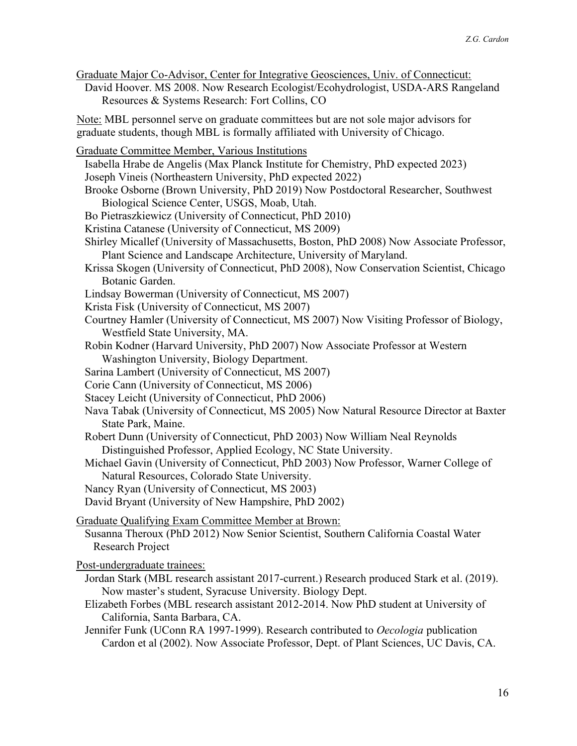Graduate Major Co-Advisor, Center for Integrative Geosciences, Univ. of Connecticut: David Hoover. MS 2008. Now Research Ecologist/Ecohydrologist, USDA-ARS Rangeland Resources & Systems Research: Fort Collins, CO

Note: MBL personnel serve on graduate committees but are not sole major advisors for graduate students, though MBL is formally affiliated with University of Chicago.

Graduate Committee Member, Various Institutions Isabella Hrabe de Angelis (Max Planck Institute for Chemistry, PhD expected 2023) Joseph Vineis (Northeastern University, PhD expected 2022) Brooke Osborne (Brown University, PhD 2019) Now Postdoctoral Researcher, Southwest Biological Science Center, USGS, Moab, Utah. Bo Pietraszkiewicz (University of Connecticut, PhD 2010) Kristina Catanese (University of Connecticut, MS 2009) Shirley Micallef (University of Massachusetts, Boston, PhD 2008) Now Associate Professor, Plant Science and Landscape Architecture, University of Maryland. Krissa Skogen (University of Connecticut, PhD 2008), Now Conservation Scientist, Chicago Botanic Garden. Lindsay Bowerman (University of Connecticut, MS 2007) Krista Fisk (University of Connecticut, MS 2007) Courtney Hamler (University of Connecticut, MS 2007) Now Visiting Professor of Biology, Westfield State University, MA. Robin Kodner (Harvard University, PhD 2007) Now Associate Professor at Western Washington University, Biology Department. Sarina Lambert (University of Connecticut, MS 2007) Corie Cann (University of Connecticut, MS 2006) Stacey Leicht (University of Connecticut, PhD 2006) Nava Tabak (University of Connecticut, MS 2005) Now Natural Resource Director at Baxter State Park, Maine. Robert Dunn (University of Connecticut, PhD 2003) Now William Neal Reynolds Distinguished Professor, Applied Ecology, NC State University. Michael Gavin (University of Connecticut, PhD 2003) Now Professor, Warner College of Natural Resources, Colorado State University. Nancy Ryan (University of Connecticut, MS 2003) David Bryant (University of New Hampshire, PhD 2002) Graduate Qualifying Exam Committee Member at Brown: Susanna Theroux (PhD 2012) Now Senior Scientist, Southern California Coastal Water Research Project Post-undergraduate trainees: Jordan Stark (MBL research assistant 2017-current.) Research produced Stark et al. (2019). Now master's student, Syracuse University. Biology Dept. Elizabeth Forbes (MBL research assistant 2012-2014. Now PhD student at University of California, Santa Barbara, CA.

Jennifer Funk (UConn RA 1997-1999). Research contributed to *Oecologia* publication Cardon et al (2002). Now Associate Professor, Dept. of Plant Sciences, UC Davis, CA.